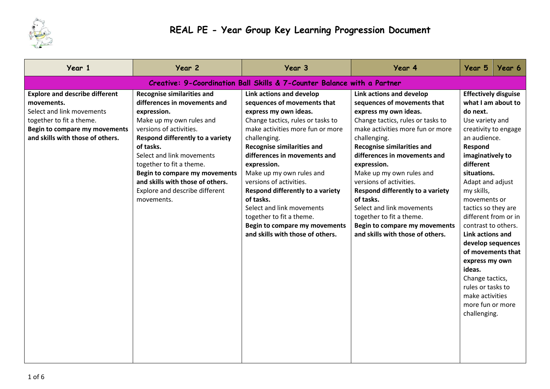

| Year 1                                                                                                                                                                                   | Year 2                                                                                                                                                                                                                                                                                                                                                                 | Year 3                                                                                                                                                                                                                                                                                                                                                                                                                                                                                                     | Year 4                                                                                                                                                                                                                                                                                                                                                                                                                                                                                                     | Year 5                                                                                                                                                                                                                                                                                                                                                                                                       | Year 6                                                                               |  |  |
|------------------------------------------------------------------------------------------------------------------------------------------------------------------------------------------|------------------------------------------------------------------------------------------------------------------------------------------------------------------------------------------------------------------------------------------------------------------------------------------------------------------------------------------------------------------------|------------------------------------------------------------------------------------------------------------------------------------------------------------------------------------------------------------------------------------------------------------------------------------------------------------------------------------------------------------------------------------------------------------------------------------------------------------------------------------------------------------|------------------------------------------------------------------------------------------------------------------------------------------------------------------------------------------------------------------------------------------------------------------------------------------------------------------------------------------------------------------------------------------------------------------------------------------------------------------------------------------------------------|--------------------------------------------------------------------------------------------------------------------------------------------------------------------------------------------------------------------------------------------------------------------------------------------------------------------------------------------------------------------------------------------------------------|--------------------------------------------------------------------------------------|--|--|
| Creative: 9-Coordination Ball Skills & 7-Counter Balance with a Partner                                                                                                                  |                                                                                                                                                                                                                                                                                                                                                                        |                                                                                                                                                                                                                                                                                                                                                                                                                                                                                                            |                                                                                                                                                                                                                                                                                                                                                                                                                                                                                                            |                                                                                                                                                                                                                                                                                                                                                                                                              |                                                                                      |  |  |
| <b>Explore and describe different</b><br>movements.<br>Select and link movements<br>together to fit a theme.<br><b>Begin to compare my movements</b><br>and skills with those of others. | <b>Recognise similarities and</b><br>differences in movements and<br>expression.<br>Make up my own rules and<br>versions of activities.<br>Respond differently to a variety<br>of tasks.<br>Select and link movements<br>together to fit a theme.<br>Begin to compare my movements<br>and skills with those of others.<br>Explore and describe different<br>movements. | Link actions and develop<br>sequences of movements that<br>express my own ideas.<br>Change tactics, rules or tasks to<br>make activities more fun or more<br>challenging.<br><b>Recognise similarities and</b><br>differences in movements and<br>expression.<br>Make up my own rules and<br>versions of activities.<br>Respond differently to a variety<br>of tasks.<br>Select and link movements<br>together to fit a theme.<br><b>Begin to compare my movements</b><br>and skills with those of others. | Link actions and develop<br>sequences of movements that<br>express my own ideas.<br>Change tactics, rules or tasks to<br>make activities more fun or more<br>challenging.<br><b>Recognise similarities and</b><br>differences in movements and<br>expression.<br>Make up my own rules and<br>versions of activities.<br>Respond differently to a variety<br>of tasks.<br>Select and link movements<br>together to fit a theme.<br><b>Begin to compare my movements</b><br>and skills with those of others. | <b>Effectively disguise</b><br>do next.<br>Use variety and<br>an audience.<br>Respond<br>imaginatively to<br>different<br>situations.<br>Adapt and adjust<br>my skills,<br>movements or<br>tactics so they are<br>different from or in<br>contrast to others.<br>Link actions and<br>express my own<br>ideas.<br>Change tactics,<br>rules or tasks to<br>make activities<br>more fun or more<br>challenging. | what I am about to<br>creativity to engage<br>develop sequences<br>of movements that |  |  |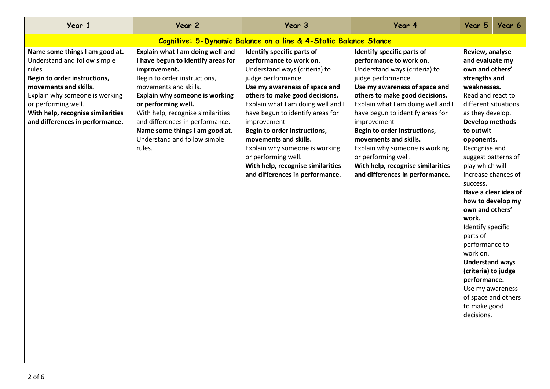| Year 1                                                                                                                                                                                                                                                             | Year 2                                                                                                                                                                                                                                                                                                                                                       | Year 3                                                                                                                                                                                                                                                                                                                                                                                                                                                             | Year 4                                                                                                                                                                                                                                                                                                                                                                                                                                                             | Year 5                                                                                                                                                                                                                                                                                                                                                                                                                                                             | Year 6                                                                                                         |  |
|--------------------------------------------------------------------------------------------------------------------------------------------------------------------------------------------------------------------------------------------------------------------|--------------------------------------------------------------------------------------------------------------------------------------------------------------------------------------------------------------------------------------------------------------------------------------------------------------------------------------------------------------|--------------------------------------------------------------------------------------------------------------------------------------------------------------------------------------------------------------------------------------------------------------------------------------------------------------------------------------------------------------------------------------------------------------------------------------------------------------------|--------------------------------------------------------------------------------------------------------------------------------------------------------------------------------------------------------------------------------------------------------------------------------------------------------------------------------------------------------------------------------------------------------------------------------------------------------------------|--------------------------------------------------------------------------------------------------------------------------------------------------------------------------------------------------------------------------------------------------------------------------------------------------------------------------------------------------------------------------------------------------------------------------------------------------------------------|----------------------------------------------------------------------------------------------------------------|--|
|                                                                                                                                                                                                                                                                    | Cognitive: 5-Dynamic Balance on a line & 4-Static Balance Stance                                                                                                                                                                                                                                                                                             |                                                                                                                                                                                                                                                                                                                                                                                                                                                                    |                                                                                                                                                                                                                                                                                                                                                                                                                                                                    |                                                                                                                                                                                                                                                                                                                                                                                                                                                                    |                                                                                                                |  |
| Name some things I am good at.<br>Understand and follow simple<br>rules.<br>Begin to order instructions,<br>movements and skills.<br>Explain why someone is working<br>or performing well.<br>With help, recognise similarities<br>and differences in performance. | Explain what I am doing well and<br>I have begun to identify areas for<br>improvement.<br>Begin to order instructions,<br>movements and skills.<br>Explain why someone is working<br>or performing well.<br>With help, recognise similarities<br>and differences in performance.<br>Name some things I am good at.<br>Understand and follow simple<br>rules. | Identify specific parts of<br>performance to work on.<br>Understand ways (criteria) to<br>judge performance.<br>Use my awareness of space and<br>others to make good decisions.<br>Explain what I am doing well and I<br>have begun to identify areas for<br>improvement<br>Begin to order instructions,<br>movements and skills.<br>Explain why someone is working<br>or performing well.<br>With help, recognise similarities<br>and differences in performance. | Identify specific parts of<br>performance to work on.<br>Understand ways (criteria) to<br>judge performance.<br>Use my awareness of space and<br>others to make good decisions.<br>Explain what I am doing well and I<br>have begun to identify areas for<br>improvement<br>Begin to order instructions,<br>movements and skills.<br>Explain why someone is working<br>or performing well.<br>With help, recognise similarities<br>and differences in performance. | Review, analyse<br>and evaluate my<br>own and others'<br>strengths and<br>weaknesses.<br>Read and react to<br>different situations<br>as they develop.<br>Develop methods<br>to outwit<br>opponents.<br>Recognise and<br>play which will<br>success.<br>own and others'<br>work.<br>Identify specific<br>parts of<br>performance to<br>work on.<br><b>Understand ways</b><br>(criteria) to judge<br>performance.<br>Use my awareness<br>to make good<br>decisions. | suggest patterns of<br>increase chances of<br>Have a clear idea of<br>how to develop my<br>of space and others |  |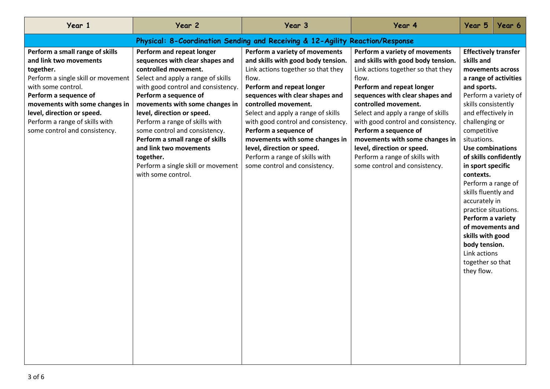| Year 1                                                                                                                                                                                                                                                                                         | Year 2                                                                                                                                                                                                                                                                                                                                                                                                                                                             | Year 3                                                                                                                                                                                                                                                                                                                                                                                                                                              | Year 4                                                                                                                                                                                                                                                                                                                                                                                                                                              | Year 5                                                                                                                                                                                                                                                                                                                                                                                                                                                       | Year 6                                                                 |  |
|------------------------------------------------------------------------------------------------------------------------------------------------------------------------------------------------------------------------------------------------------------------------------------------------|--------------------------------------------------------------------------------------------------------------------------------------------------------------------------------------------------------------------------------------------------------------------------------------------------------------------------------------------------------------------------------------------------------------------------------------------------------------------|-----------------------------------------------------------------------------------------------------------------------------------------------------------------------------------------------------------------------------------------------------------------------------------------------------------------------------------------------------------------------------------------------------------------------------------------------------|-----------------------------------------------------------------------------------------------------------------------------------------------------------------------------------------------------------------------------------------------------------------------------------------------------------------------------------------------------------------------------------------------------------------------------------------------------|--------------------------------------------------------------------------------------------------------------------------------------------------------------------------------------------------------------------------------------------------------------------------------------------------------------------------------------------------------------------------------------------------------------------------------------------------------------|------------------------------------------------------------------------|--|
|                                                                                                                                                                                                                                                                                                |                                                                                                                                                                                                                                                                                                                                                                                                                                                                    | Physical: 8-Coordination Sending and Receiving & 12-Agility Reaction/Response                                                                                                                                                                                                                                                                                                                                                                       |                                                                                                                                                                                                                                                                                                                                                                                                                                                     |                                                                                                                                                                                                                                                                                                                                                                                                                                                              |                                                                        |  |
| Perform a small range of skills<br>and link two movements<br>together.<br>Perform a single skill or movement<br>with some control.<br>Perform a sequence of<br>movements with some changes in<br>level, direction or speed.<br>Perform a range of skills with<br>some control and consistency. | Perform and repeat longer<br>sequences with clear shapes and<br>controlled movement.<br>Select and apply a range of skills<br>with good control and consistency.<br>Perform a sequence of<br>movements with some changes in<br>level, direction or speed.<br>Perform a range of skills with<br>some control and consistency.<br>Perform a small range of skills<br>and link two movements<br>together.<br>Perform a single skill or movement<br>with some control. | Perform a variety of movements<br>and skills with good body tension.<br>Link actions together so that they<br>flow.<br>Perform and repeat longer<br>sequences with clear shapes and<br>controlled movement.<br>Select and apply a range of skills<br>with good control and consistency.<br>Perform a sequence of<br>movements with some changes in<br>level, direction or speed.<br>Perform a range of skills with<br>some control and consistency. | Perform a variety of movements<br>and skills with good body tension.<br>Link actions together so that they<br>flow.<br>Perform and repeat longer<br>sequences with clear shapes and<br>controlled movement.<br>Select and apply a range of skills<br>with good control and consistency.<br>Perform a sequence of<br>movements with some changes in<br>level, direction or speed.<br>Perform a range of skills with<br>some control and consistency. | <b>Effectively transfer</b><br>skills and<br>movements across<br>and sports.<br>skills consistently<br>and effectively in<br>challenging or<br>competitive<br>situations.<br><b>Use combinations</b><br>in sport specific<br>contexts.<br>Perform a range of<br>skills fluently and<br>accurately in<br>practice situations.<br>Perform a variety<br>of movements and<br>skills with good<br>body tension.<br>Link actions<br>together so that<br>they flow. | a range of activities<br>Perform a variety of<br>of skills confidently |  |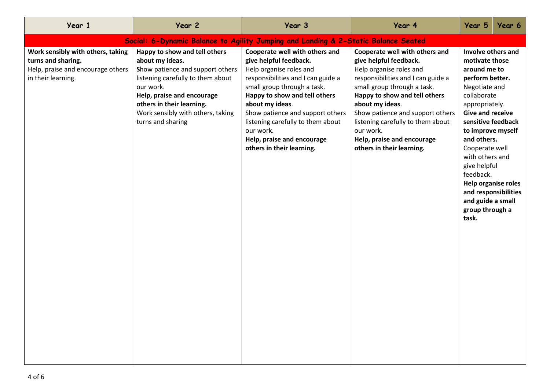| Year 1                                                                                                             | Year 2                                                                                                                                                                                                                                                      | Year 3                                                                                                                                                                                                                                                                                                                                                        | Year 4                                                                                                                                                                                                                                                                                                                                                        | Year 5                                                                                                                                                                                                                                                                                                                            | Year 6                                      |  |  |  |
|--------------------------------------------------------------------------------------------------------------------|-------------------------------------------------------------------------------------------------------------------------------------------------------------------------------------------------------------------------------------------------------------|---------------------------------------------------------------------------------------------------------------------------------------------------------------------------------------------------------------------------------------------------------------------------------------------------------------------------------------------------------------|---------------------------------------------------------------------------------------------------------------------------------------------------------------------------------------------------------------------------------------------------------------------------------------------------------------------------------------------------------------|-----------------------------------------------------------------------------------------------------------------------------------------------------------------------------------------------------------------------------------------------------------------------------------------------------------------------------------|---------------------------------------------|--|--|--|
| Social: 6-Dynamic Balance to Agility Jumping and Landing & 2-Static Balance Seated                                 |                                                                                                                                                                                                                                                             |                                                                                                                                                                                                                                                                                                                                                               |                                                                                                                                                                                                                                                                                                                                                               |                                                                                                                                                                                                                                                                                                                                   |                                             |  |  |  |
| Work sensibly with others, taking<br>turns and sharing.<br>Help, praise and encourage others<br>in their learning. | Happy to show and tell others<br>about my ideas.<br>Show patience and support others<br>listening carefully to them about<br>our work.<br>Help, praise and encourage<br>others in their learning.<br>Work sensibly with others, taking<br>turns and sharing | Cooperate well with others and<br>give helpful feedback.<br>Help organise roles and<br>responsibilities and I can guide a<br>small group through a task.<br>Happy to show and tell others<br>about my ideas.<br>Show patience and support others<br>listening carefully to them about<br>our work.<br>Help, praise and encourage<br>others in their learning. | Cooperate well with others and<br>give helpful feedback.<br>Help organise roles and<br>responsibilities and I can guide a<br>small group through a task.<br>Happy to show and tell others<br>about my ideas.<br>Show patience and support others<br>listening carefully to them about<br>our work.<br>Help, praise and encourage<br>others in their learning. | Involve others and<br>motivate those<br>around me to<br>perform better.<br>Negotiate and<br>collaborate<br>appropriately.<br><b>Give and receive</b><br>sensitive feedback<br>to improve myself<br>and others.<br>Cooperate well<br>with others and<br>give helpful<br>feedback.<br>and guide a small<br>group through a<br>task. | Help organise roles<br>and responsibilities |  |  |  |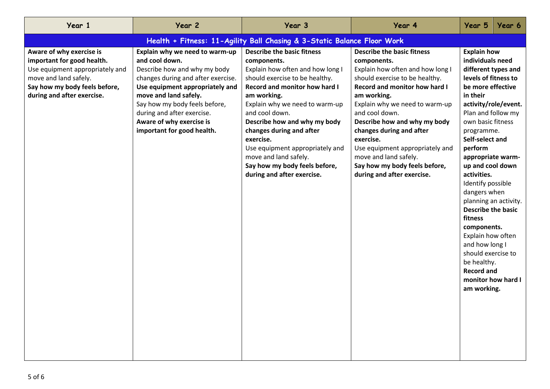| Year 1                                                                                                                                                                            | Year 2                                                                                                                                                                                                                                                                                                      | Year 3                                                                                                                                                                                                                                                                                                                                                                                                                         | Year 4                                                                                                                                                                                                                                                                                                                                                                                                                         | Year 5                                                                                                                                                                                                                                                                                                                                                                                                                                                                                                                                                   | Year 6 |  |  |
|-----------------------------------------------------------------------------------------------------------------------------------------------------------------------------------|-------------------------------------------------------------------------------------------------------------------------------------------------------------------------------------------------------------------------------------------------------------------------------------------------------------|--------------------------------------------------------------------------------------------------------------------------------------------------------------------------------------------------------------------------------------------------------------------------------------------------------------------------------------------------------------------------------------------------------------------------------|--------------------------------------------------------------------------------------------------------------------------------------------------------------------------------------------------------------------------------------------------------------------------------------------------------------------------------------------------------------------------------------------------------------------------------|----------------------------------------------------------------------------------------------------------------------------------------------------------------------------------------------------------------------------------------------------------------------------------------------------------------------------------------------------------------------------------------------------------------------------------------------------------------------------------------------------------------------------------------------------------|--------|--|--|
|                                                                                                                                                                                   | Health + Fitness: 11-Agility Ball Chasing & 3-Static Balance Floor Work                                                                                                                                                                                                                                     |                                                                                                                                                                                                                                                                                                                                                                                                                                |                                                                                                                                                                                                                                                                                                                                                                                                                                |                                                                                                                                                                                                                                                                                                                                                                                                                                                                                                                                                          |        |  |  |
| Aware of why exercise is<br>important for good health.<br>Use equipment appropriately and<br>move and land safely.<br>Say how my body feels before,<br>during and after exercise. | Explain why we need to warm-up<br>and cool down.<br>Describe how and why my body<br>changes during and after exercise.<br>Use equipment appropriately and<br>move and land safely.<br>Say how my body feels before,<br>during and after exercise.<br>Aware of why exercise is<br>important for good health. | <b>Describe the basic fitness</b><br>components.<br>Explain how often and how long I<br>should exercise to be healthy.<br>Record and monitor how hard I<br>am working.<br>Explain why we need to warm-up<br>and cool down.<br>Describe how and why my body<br>changes during and after<br>exercise.<br>Use equipment appropriately and<br>move and land safely.<br>Say how my body feels before,<br>during and after exercise. | <b>Describe the basic fitness</b><br>components.<br>Explain how often and how long I<br>should exercise to be healthy.<br>Record and monitor how hard I<br>am working.<br>Explain why we need to warm-up<br>and cool down.<br>Describe how and why my body<br>changes during and after<br>exercise.<br>Use equipment appropriately and<br>move and land safely.<br>Say how my body feels before,<br>during and after exercise. | <b>Explain how</b><br>individuals need<br>different types and<br>levels of fitness to<br>be more effective<br>in their<br>activity/role/event.<br>Plan and follow my<br>own basic fitness<br>programme.<br>Self-select and<br>perform<br>appropriate warm-<br>up and cool down<br>activities.<br>Identify possible<br>dangers when<br>planning an activity.<br><b>Describe the basic</b><br>fitness<br>components.<br>Explain how often<br>and how long I<br>should exercise to<br>be healthy.<br><b>Record and</b><br>monitor how hard I<br>am working. |        |  |  |